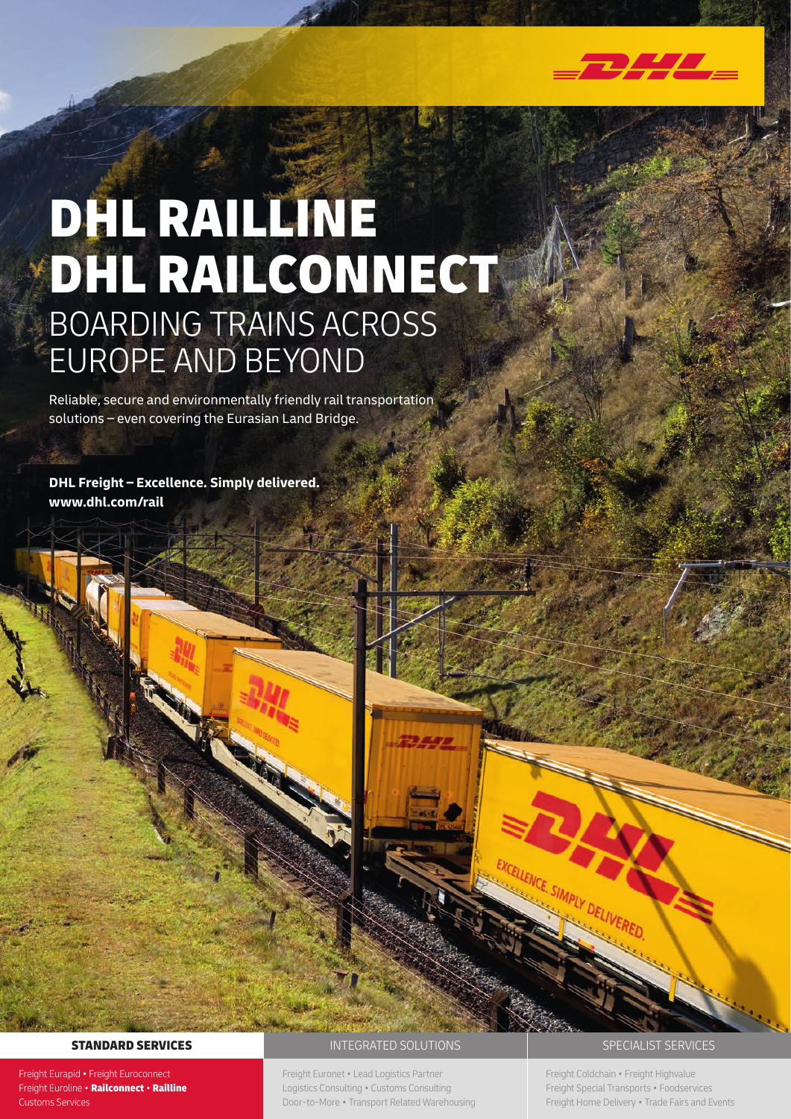

Reliable, secure and environmentally friendly rail transportation solutions – even covering the Eurasian Land Bridge.

**DHL Freight – Excellence. Simply delivered. www.dhl.com/rail**

Freight Eurapid • Freight Euroconnect Freight Euroline • Railconnect • Railline Customs Services

# STANDARD SERVICES **STANDARD SERVICES INTEGRATED SOLUTIONS SPECIALIST SERVICES**

Freight Euronet • Lead Logistics Partner Logistics Consulting • Customs Consulting Door-to-More • Transport Related Warehousing

Freight Coldchain • Freight Highvalue Freight Special Transports • Foodservices Freight Home Delivery • Trade Fairs and Events

SIMPLY DELIVERED.